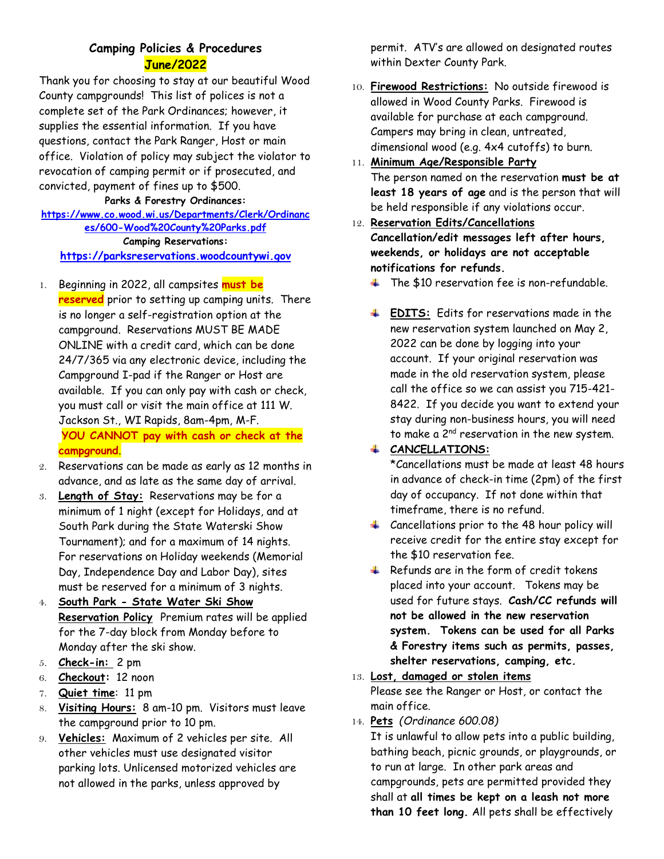## **Camping Policies & Procedures June/2022**

Thank you for choosing to stay at our beautiful Wood County campgrounds! This list of polices is not a complete set of the Park Ordinances; however, it supplies the essential information. If you have questions, contact the Park Ranger, Host or main office. Violation of policy may subject the violator to revocation of camping permit or if prosecuted, and convicted, payment of fines up to \$500.

#### **Parks & Forestry Ordinances: [https://www.co.wood.wi.us/Departments/Clerk/Ordinanc](https://www.co.wood.wi.us/Departments/Clerk/Ordinances/600-Wood%20County%20Parks.pdf) [es/600-Wood%20County%20Parks.pdf](https://www.co.wood.wi.us/Departments/Clerk/Ordinances/600-Wood%20County%20Parks.pdf) Camping Reservations: [https://parksreservations.woodcountywi.gov](https://parksreservations.woodcountywi.gov/)**

- 1. Beginning in 2022, all campsites **must be reserved** prior to setting up camping units. There is no longer a self-registration option at the campground. Reservations MUST BE MADE ONLINE with a credit card, which can be done 24/7/365 via any electronic device, including the Campground I-pad if the Ranger or Host are available. If you can only pay with cash or check, you must call or visit the main office at 111 W. Jackson St., WI Rapids, 8am-4pm, M-F. **YOU CANNOT pay with cash or check at the campground**.
- 2. Reservations can be made as early as 12 months in advance, and as late as the same day of arrival.
- 3. **Length of Stay:** Reservations may be for a minimum of 1 night (except for Holidays, and at South Park during the State Waterski Show Tournament); and for a maximum of 14 nights. For reservations on Holiday weekends (Memorial Day, Independence Day and Labor Day), sites must be reserved for a minimum of 3 nights.
- 4. **South Park - State Water Ski Show Reservation Policy** Premium rates will be applied for the 7-day block from Monday before to Monday after the ski show.
- 5. **Check-in:** 2 pm
- 6. **Checkout:** 12 noon
- 7. **Quiet time**: 11 pm
- 8. **Visiting Hours:** 8 am-10 pm. Visitors must leave the campground prior to 10 pm.
- 9. **Vehicles:** Maximum of 2 vehicles per site. All other vehicles must use designated visitor parking lots. Unlicensed motorized vehicles are not allowed in the parks, unless approved by

permit. ATV's are allowed on designated routes within Dexter County Park.

10. **Firewood Restrictions:** No outside firewood is allowed in Wood County Parks. Firewood is available for purchase at each campground. Campers may bring in clean, untreated, dimensional wood (e.g. 4x4 cutoffs) to burn.

# 11. **Minimum Age/Responsible Party** The person named on the reservation **must be at least 18 years of age** and is the person that will be held responsible if any violations occur.

- 12. **Reservation Edits/Cancellations Cancellation/edit messages left after hours, weekends, or holidays are not acceptable notifications for refunds.**
	- $\ddot{\bullet}$  The \$10 reservation fee is non-refundable.
	- **EDITS:** Edits for reservations made in the new reservation system launched on May 2, 2022 can be done by logging into your account. If your original reservation was made in the old reservation system, please call the office so we can assist you 715-421- 8422. If you decide you want to extend your stay during non-business hours, you will need to make a 2<sup>nd</sup> reservation in the new system.

## **CANCELLATIONS:**

\*Cancellations must be made at least 48 hours in advance of check-in time (2pm) of the first day of occupancy. If not done within that timeframe, there is no refund.

- 4 Cancellations prior to the 48 hour policy will receive credit for the entire stay except for the \$10 reservation fee.
- $\frac{1}{\sqrt{1}}$  Refunds are in the form of credit tokens placed into your account.Tokens may be used for future stays. **Cash/CC refunds will not be allowed in the new reservation system. Tokens can be used for all Parks & Forestry items such as permits, passes, shelter reservations, camping, etc.**
- 13. **Lost, damaged or stolen items** Please see the Ranger or Host, or contact the main office.
- 14. **Pets** *(Ordinance 600.08)*

It is unlawful to allow pets into a public building, bathing beach, picnic grounds, or playgrounds, or to run at large. In other park areas and campgrounds, pets are permitted provided they shall at **all times be kept on a leash not more than 10 feet long.** All pets shall be effectively